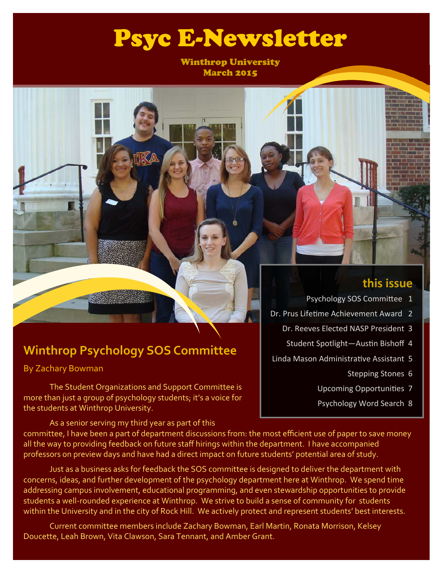# Psyc E-Newsletter

Winthrop University March 2015

## **Winthrop Psychology SOS Committee**

By Zachary Bowman

 The Student Organizations and Support Committee is more than just a group of psychology students; it's a voice for the students at Winthrop University.

**this issue**

- Psychology SOS Committee 1
- Dr. Prus Lifetime Achievement Award 2
	- Dr. Reeves Elected NASP President 3
		- Student Spotlight-Austin Bishoff 4
- Linda Mason Administrative Assistant 5
	- Stepping Stones 6
	- Upcoming Opportunities 7
	- Psychology Word Search 8

 As a senior serving my third year as part of this committee, I have been a part of department discussions from: the most efficient use of paper to save money all the way to providing feedback on future staff hirings within the department. I have accompanied professors on preview days and have had a direct impact on future students' potential area of study.

 Just as a business asks for feedback the SOS committee is designed to deliver the department with concerns, ideas, and further development of the psychology department here at Winthrop. We spend time addressing campus involvement, educational programming, and even stewardship opportunities to provide students a well‐rounded experience at Winthrop. We strive to build a sense of community for students within the University and in the city of Rock Hill. We actively protect and represent students' best interests.

 Current committee members include Zachary Bowman, Earl Martin, Ronata Morrison, Kelsey Doucette, Leah Brown, Vita Clawson, Sara Tennant, and Amber Grant.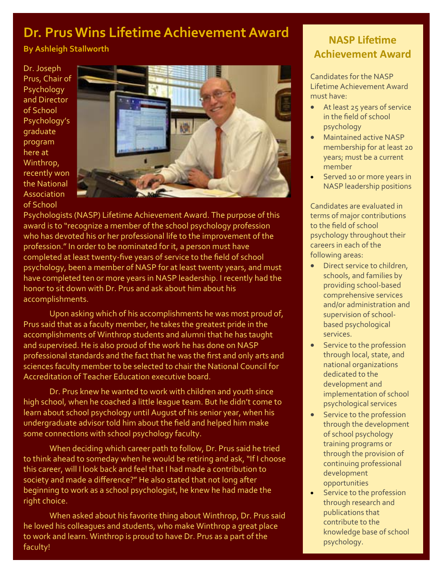## **Dr. Prus Wins Lifetime Achievement Award**

**By Ashleigh Stallworth** 

Dr. Joseph Prus, Chair of **Psychology** and Director of School Psychology's graduate program here at Winthrop, recently won the National **Association** of School



Psychologists (NASP) Lifetime Achievement Award. The purpose of this award is to "recognize a member of the school psychology profession who has devoted his or her professional life to the improvement of the profession." In order to be nominated for it, a person must have completed at least twenty‐five years of service to the field of school psychology, been a member of NASP for at least twenty years, and must have completed ten or more years in NASP leadership. I recently had the honor to sit down with Dr. Prus and ask about him about his accomplishments.

 Upon asking which of his accomplishments he was most proud of, Prus said that as a faculty member, he takes the greatest pride in the accomplishments of Winthrop students and alumni that he has taught and supervised. He is also proud of the work he has done on NASP professional standards and the fact that he was the first and only arts and sciences faculty member to be selected to chair the National Council for Accreditation of Teacher Education executive board.

 Dr. Prus knew he wanted to work with children and youth since high school, when he coached a little league team. But he didn't come to learn about school psychology until August of his senior year, when his undergraduate advisor told him about the field and helped him make some connections with school psychology faculty.

When deciding which career path to follow, Dr. Prus said he tried to think ahead to someday when he would be retiring and ask, "If I choose this career, will I look back and feel that I had made a contribution to society and made a difference?" He also stated that not long after beginning to work as a school psychologist, he knew he had made the right choice.

 When asked about his favorite thing about Winthrop, Dr. Prus said he loved his colleagues and students, who make Winthrop a great place to work and learn. Winthrop is proud to have Dr. Prus as a part of the faculty!

## **NASP LifeƟme Achievement Award**

Candidates for the NASP Lifetime Achievement Award must have:

- At least 25 years of service in the field of school psychology
- Maintained active NASP membership for at least 20 years; must be a current member
- Served 10 or more years in NASP leadership positions

Candidates are evaluated in terms of major contributions to the field of school psychology throughout their careers in each of the following areas:

- Direct service to children, schools, and families by providing school‐based comprehensive services and/or administration and supervision of school‐ based psychological services.
- Service to the profession through local, state, and national organizations dedicated to the development and implementation of school psychological services
- **•** Service to the profession through the development of school psychology training programs or through the provision of continuing professional development opportunities
- Service to the profession through research and publications that contribute to the knowledge base of school psychology.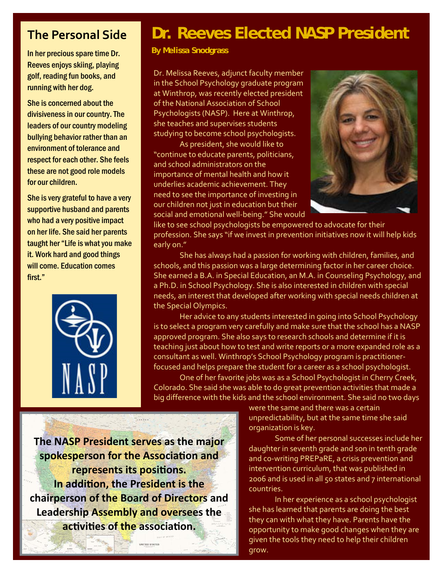## **The Personal Side**

In her precious spare time Dr. Reeves enjoys skiing, playing golf, reading fun books, and running with her dog.

She is concerned about the divisiveness in our country. The leaders of our country modeling bullying behavior rather than an environment of tolerance and respect for each other. She feels these are not good role models for our children.

She is very grateful to have a very supportive husband and parents who had a very positive impact on her life. She said her parents taught her "Life is what you make it. Work hard and good things will come. Education comes first."



## **Dr. Reeves Elected NASP President**

**By Melissa Snodgrass** 

Dr. Melissa Reeves, adjunct faculty member in the School Psychology graduate program at Winthrop, was recently elected president of the National Association of School Psychologists (NASP). Here at Winthrop, she teaches and supervises students studying to become school psychologists.

 As president, she would like to "continue to educate parents, politicians, and school administrators on the importance of mental health and how it underlies academic achievement. They need to see the importance of investing in our children not just in education but their social and emotional well‐being." She would



like to see school psychologists be empowered to advocate for their profession. She says "if we invest in prevention initiatives now it will help kids early on."

 She has always had a passion for working with children, families, and schools, and this passion was a large determining factor in her career choice. She earned a B.A. in Special Education, an M.A. in Counseling Psychology, and a Ph.D. in School Psychology. She is also interested in children with special needs, an interest that developed after working with special needs children at the Special Olympics.

 Her advice to any students interested in going into School Psychology is to select a program very carefully and make sure that the school has a NASP approved program. She also says to research schools and determine if it is teaching just about how to test and write reports or a more expanded role as a consultant as well. Winthrop's School Psychology program is practitioner‐ focused and helps prepare the student for a career as a school psychologist.

 One of her favorite jobs was as a School Psychologist in Cherry Creek, Colorado. She said she was able to do great prevention activities that made a big difference with the kids and the school environment. She said no two days

> were the same and there was a certain unpredictability, but at the same time she said organization is key.

 Some of her personal successes include her daughter in seventh grade and son in tenth grade and co-writing PREPaRE, a crisis prevention and intervention curriculum, that was published in 2006 and is used in all 50 states and 7 international countries.

 In her experience as a school psychologist she has learned that parents are doing the best they can with what they have. Parents have the opportunity to make good changes when they are given the tools they need to help their children grow.

**The NASP President serves as the major spokesperson for the Association and represents its positions. In addition, the President is the chairperson of the Board of Directors and Leadership Assembly and oversees the activities of the association.**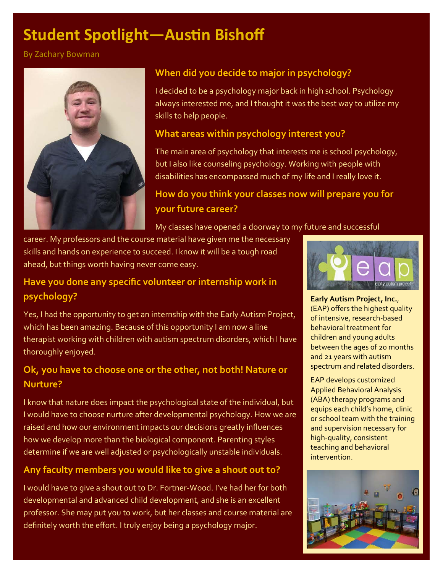# **Student Spotlight-Austin Bishoff**

By Zachary Bowman



### **When did you decide to major in psychology?**

I decided to be a psychology major back in high school. Psychology always interested me, and I thought it was the best way to utilize my skills to help people.

### **What areas within psychology interest you?**

The main area of psychology that interests me is school psychology, but I also like counseling psychology. Working with people with disabilities has encompassed much of my life and I really love it.

## **How do you think your classes now will prepare you for your future career?**

My classes have opened a doorway to my future and successful

career. My professors and the course material have given me the necessary skills and hands on experience to succeed. I know it will be a tough road ahead, but things worth having never come easy.

### **Have you done any specific volunteer or internship work in psychology?**

Yes, I had the opportunity to get an internship with the Early Autism Project, which has been amazing. Because of this opportunity I am now a line therapist working with children with autism spectrum disorders, which I have thoroughly enjoyed.

## **Ok, you have to choose one or the other, not both! Nature or Nurture?**

I know that nature does impact the psychological state of the individual, but I would have to choose nurture after developmental psychology. How we are raised and how our environment impacts our decisions greatly influences how we develop more than the biological component. Parenting styles determine if we are well adjusted or psychologically unstable individuals.

### **Any faculty members you would like to give a shout out to?**

I would have to give a shout out to Dr. Fortner‐Wood. I've had her for both developmental and advanced child development, and she is an excellent professor. She may put you to work, but her classes and course material are definitely worth the effort. I truly enjoy being a psychology major.



**Early Autism Project, Inc.**, (EAP) offers the highest quality of intensive, research‐based behavioral treatment for children and young adults between the ages of 20 months and 21 years with autism spectrum and related disorders.

EAP develops customized Applied Behavioral Analysis (ABA) therapy programs and equips each child's home, clinic or school team with the training and supervision necessary for high‐quality, consistent teaching and behavioral intervention.

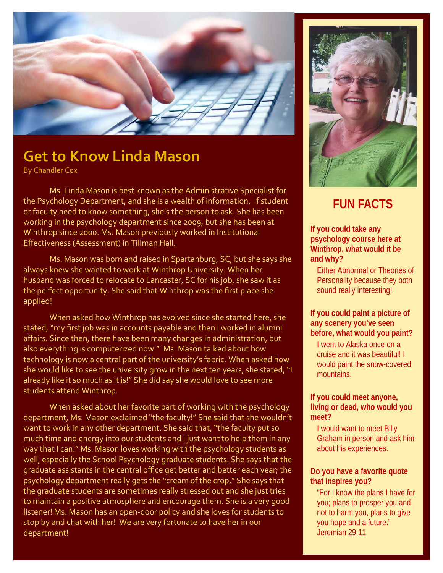

## **Get to Know Linda Mason**

By Chandler Cox

 Ms. Linda Mason is best known as the Administrative Specialist for the Psychology Department, and she is a wealth of information. If student or faculty need to know something, she's the person to ask. She has been working in the psychology department since 2009, but she has been at Winthrop since 2000. Ms. Mason previously worked in Institutional Effectiveness (Assessment) in Tillman Hall.

 Ms. Mason was born and raised in Spartanburg, SC, but she says she always knew she wanted to work at Winthrop University. When her husband was forced to relocate to Lancaster, SC for his job, she saw it as the perfect opportunity. She said that Winthrop was the first place she applied!

 When asked how Winthrop has evolved since she started here, she stated, "my first job was in accounts payable and then I worked in alumni affairs. Since then, there have been many changes in administration, but also everything is computerized now." Ms. Mason talked about how technology is now a central part of the university's fabric. When asked how she would like to see the university grow in the next ten years, she stated, "I already like it so much as it is!" She did say she would love to see more students attend Winthrop.

 When asked about her favorite part of working with the psychology department, Ms. Mason exclaimed "the faculty!" She said that she wouldn't want to work in any other department. She said that, "the faculty put so much time and energy into our students and I just want to help them in any way that I can." Ms. Mason loves working with the psychology students as well, especially the School Psychology graduate students. She says that the graduate assistants in the central office get better and better each year; the psychology department really gets the "cream of the crop." She says that the graduate students are sometimes really stressed out and she just tries to maintain a positive atmosphere and encourage them. She is a very good listener! Ms. Mason has an open‐door policy and she loves for students to stop by and chat with her! We are very fortunate to have her in our department!



## **FUN FACTS**

#### **If you could take any psychology course here at Winthrop, what would it be and why?**

Either Abnormal or Theories of Personality because they both sound really interesting!

#### **If you could paint a picture of any scenery you've seen before, what would you paint?**

I went to Alaska once on a cruise and it was beautiful! I would paint the snow-covered mountains.

#### **If you could meet anyone, living or dead, who would you meet?**

I would want to meet Billy Graham in person and ask him about his experiences.

#### **Do you have a favorite quote that inspires you?**

"For I know the plans I have for you; plans to prosper you and not to harm you, plans to give you hope and a future." Jeremiah 29:11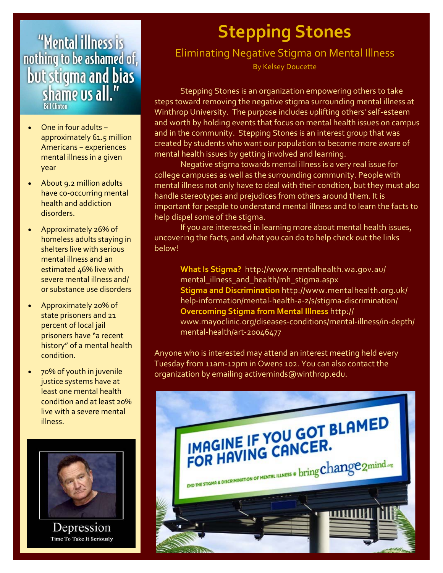# "Mental illness is nothing to be ashamed of, **but stigma and bias**<br>shame us all."

- One in four adults − approximately 61.5 million Americans − experiences mental illness in a given year
- About 9.2 million adults have co‐occurring mental health and addiction disorders.
- Approximately 26% of homeless adults staying in shelters live with serious mental illness and an estimated  $46%$  live with severe mental illness and/ or substance use disorders
- Approximately 20% of state prisoners and 21 percent of local jail prisoners have "a recent history" of a mental health condition.
- 70% of youth in juvenile justice systems have at least one mental health condition and at least 20% live with a severe mental illness.



Depression Time To Take It Seriously

# **Stepping Stones**

## Eliminating Negative Stigma on Mental Illness

By Kelsey Doucette

 Stepping Stones is an organization empowering others to take steps toward removing the negative stigma surrounding mental illness at Winthrop University. The purpose includes uplifting others' self‐esteem and worth by holding events that focus on mental health issues on campus and in the community. Stepping Stones is an interest group that was created by students who want our population to become more aware of mental health issues by getting involved and learning.

 Negative stigma towards mental illness is a very real issue for college campuses as well as the surrounding community. People with mental illness not only have to deal with their condtion, but they must also handle stereotypes and prejudices from others around them. It is important for people to understand mental illness and to learn the facts to help dispel some of the stigma.

 If you are interested in learning more about mental health issues, uncovering the facts, and what you can do to help check out the links below!

**What Is Stigma?** http://www.mentalhealth.wa.gov.au/ mental illness and health/mh stigma.aspx **Stigma and Discrimination** http://www.mentalhealth.org.uk/ help-information/mental-health-a-z/s/stigma-discrimination/ **Overcoming Stigma from Mental Illness** http:// www.mayoclinic.org/diseases‐conditions/mental‐illness/in‐depth/ mental‐health/art‐20046477

Anyone who is interested may attend an interest meeting held every Tuesday from 11am‐12pm in Owens 102. You can also contact the organization by emailing activeminds@winthrop.edu.

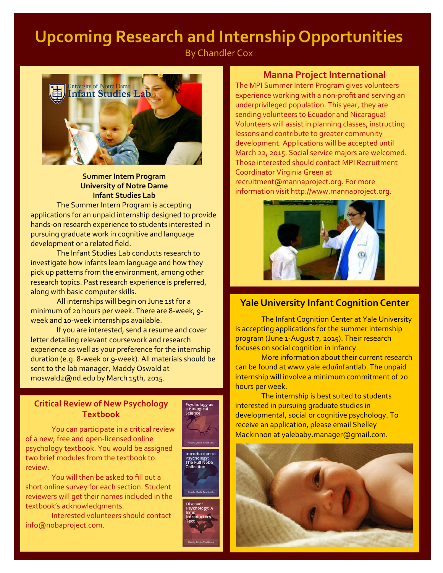## **Upcoming Research and Internship Opportunities**

By Chandler Cox



#### **Summer Intern Program University of Notre Dame Infant Studies Lab**

 The Summer Intern Program is accepting applications for an unpaid internship designed to provide hands‐on research experience to students interested in pursuing graduate work in cognitive and language development or a related field.

 The Infant Studies Lab conducts research to investigate how infants learn language and how they pick up patterns from the environment, among other research topics. Past research experience is preferred, along with basic computer skills.

 All internships will begin on June 1st for a minimum of 20 hours per week. There are 8‐week, 9‐ week and 10-week internships available.

 If you are interested, send a resume and cover letter detailing relevant coursework and research experience as well as your preference for the internship duration (e.g. 8‐week or 9‐week). All materials should be sent to the lab manager, Maddy Oswald at moswald2@nd.edu by March 15th, 2015.

#### **Critical Review of New Psychology Textbook**

 You can participate in a critical review of a new, free and open‐licensed online psychology textbook. You would be assigned two brief modules from the textbook to review.

 You will then be asked to fill out a short online survey for each section. Student reviewers will get their names included in the textbook's acknowledgments.

 Interested volunteers should contact info@nobaproject.com.





#### **Manna Project International**

The MPI Summer Intern Program gives volunteers experience working with a non‐profit and serving an underprivileged population. This year, they are sending volunteers to Ecuador and Nicaragua! Volunteers will assist in planning classes, instructing lessons and contribute to greater community development. Applications will be accepted until March 22, 2015. Social service majors are welcomed. Those interested should contact MPI Recruitment Coordinator Virginia Green at recruitment@mannaproject.org. For more information visit http://www.mannaproject.org.



#### **Yale University Infant Cognition Center**

 The Infant Cognition Center at Yale University is accepting applications for the summer internship program (June 1‐August 7, 2015). Their research focuses on social cognition in infancy.

 More information about their current research can be found at www.yale.edu/infantlab. The unpaid internship will involve a minimum commitment of 20 hours per week.

 The internship is best suited to students interested in pursuing graduate studies in developmental, social or cognitive psychology. To receive an application, please email Shelley Mackinnon at yalebaby.manager@gmail.com.